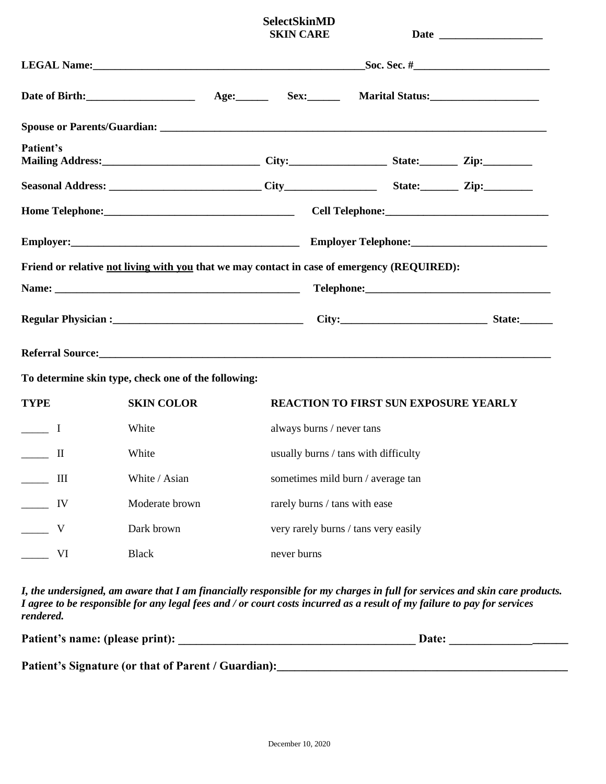|                                                                                                                |                                                     |  | <b>SelectSkinMD</b><br><b>SKIN CARE</b>                 |                                                                                                                                                                                                                                      |  |  |
|----------------------------------------------------------------------------------------------------------------|-----------------------------------------------------|--|---------------------------------------------------------|--------------------------------------------------------------------------------------------------------------------------------------------------------------------------------------------------------------------------------------|--|--|
|                                                                                                                |                                                     |  | LEGAL Name: $\_\_\_\_\_\_\_$ Soc. Sec. # $\_\_\_\_\_\_$ |                                                                                                                                                                                                                                      |  |  |
|                                                                                                                |                                                     |  |                                                         |                                                                                                                                                                                                                                      |  |  |
|                                                                                                                |                                                     |  |                                                         |                                                                                                                                                                                                                                      |  |  |
| Patient's                                                                                                      |                                                     |  |                                                         |                                                                                                                                                                                                                                      |  |  |
|                                                                                                                |                                                     |  |                                                         |                                                                                                                                                                                                                                      |  |  |
|                                                                                                                |                                                     |  |                                                         |                                                                                                                                                                                                                                      |  |  |
|                                                                                                                |                                                     |  |                                                         |                                                                                                                                                                                                                                      |  |  |
|                                                                                                                |                                                     |  |                                                         | Friend or relative not living with you that we may contact in case of emergency (REQUIRED):                                                                                                                                          |  |  |
|                                                                                                                |                                                     |  |                                                         |                                                                                                                                                                                                                                      |  |  |
| Regular Physician : State: State: State: State: State: State: State: State: State: State: State: State: State: |                                                     |  |                                                         |                                                                                                                                                                                                                                      |  |  |
|                                                                                                                |                                                     |  |                                                         | Referral Source: <u>and the community of the community of the community of the community of the community of the community of the community of the community of the community of the community of the community of the community</u> |  |  |
|                                                                                                                | To determine skin type, check one of the following: |  |                                                         |                                                                                                                                                                                                                                      |  |  |
| <b>TYPE</b>                                                                                                    | <b>SKIN COLOR</b>                                   |  | <b>REACTION TO FIRST SUN EXPOSURE YEARLY</b>            |                                                                                                                                                                                                                                      |  |  |
| $\frac{1}{\sqrt{1-\frac{1}{2}}}$                                                                               | White                                               |  | always burns / never tans                               |                                                                                                                                                                                                                                      |  |  |
| $\mathbf{I}$                                                                                                   | White                                               |  | usually burns / tans with difficulty                    |                                                                                                                                                                                                                                      |  |  |
| III                                                                                                            | White / Asian                                       |  | sometimes mild burn / average tan                       |                                                                                                                                                                                                                                      |  |  |
| IV                                                                                                             | Moderate brown                                      |  | rarely burns / tans with ease                           |                                                                                                                                                                                                                                      |  |  |
| V                                                                                                              | Dark brown                                          |  | very rarely burns / tans very easily                    |                                                                                                                                                                                                                                      |  |  |
| VI                                                                                                             | <b>Black</b>                                        |  | never burns                                             |                                                                                                                                                                                                                                      |  |  |

*I, the undersigned, am aware that I am financially responsible for my charges in full for services and skin care products. I agree to be responsible for any legal fees and / or court costs incurred as a result of my failure to pay for services rendered.*

| Patient's name: (please print):                     | Date: |  |
|-----------------------------------------------------|-------|--|
| Patient's Signature (or that of Parent / Guardian): |       |  |